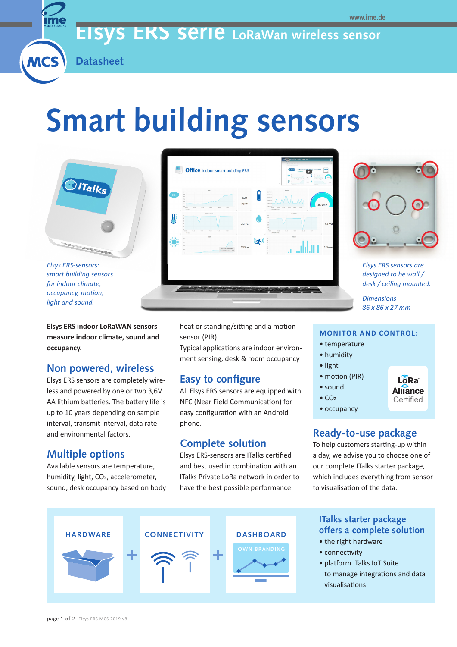# **Elsys ERS serie LoRaWan wireless sensor**



**MCS** 

# **Smart building sensors**



*smart building sensors for indoor climate, occupancy, motion, light and sound.*

**Elsys ERS indoor LoRaWAN sensors measure indoor climate, sound and occupancy.** 

# **Non powered, wireless**

Elsys ERS sensors are completely wireless and powered by one or two 3,6V AA lithium batteries. The battery life is up to 10 years depending on sample interval, transmit interval, data rate and environmental factors.

# **Multiple options**

Available sensors are temperature, humidity, light, CO2, accelerometer, sound, desk occupancy based on body





*Elsys ERS sensors are designed to be wall / desk / ceiling mounted.*

> Lo<sub>Ra</sub> **Alliance** Certified

*Dimensions 86 x 86 x 27 mm*

heat or standing/sitting and a motion sensor (PIR).

Typical applications are indoor environment sensing, desk & room occupancy

# **Easy to configure**

All Elsys ERS sensors are equipped with NFC (Near Field Communication) for easy configuration with an Android phone.

# **Complete solution**

Elsys ERS-sensors are ITalks certified and best used in combination with an ITalks Private LoRa network in order to have the best possible performance.

#### **MONITOR AND CONTROL:**

- temperature
- humidity
- light
- motion (PIR)
- sound
- CO**<sup>2</sup>**
- occupancy

## **Ready-to-use package**

To help customers starting-up within a day, we advise you to choose one of our complete ITalks starter package, which includes everything from sensor to visualisation of the data.



## **ITalks starter package offers a complete solution**

- the right hardware
- connectivity
- platform ITalks IoT Suite
- to manage integrations and data visualisations